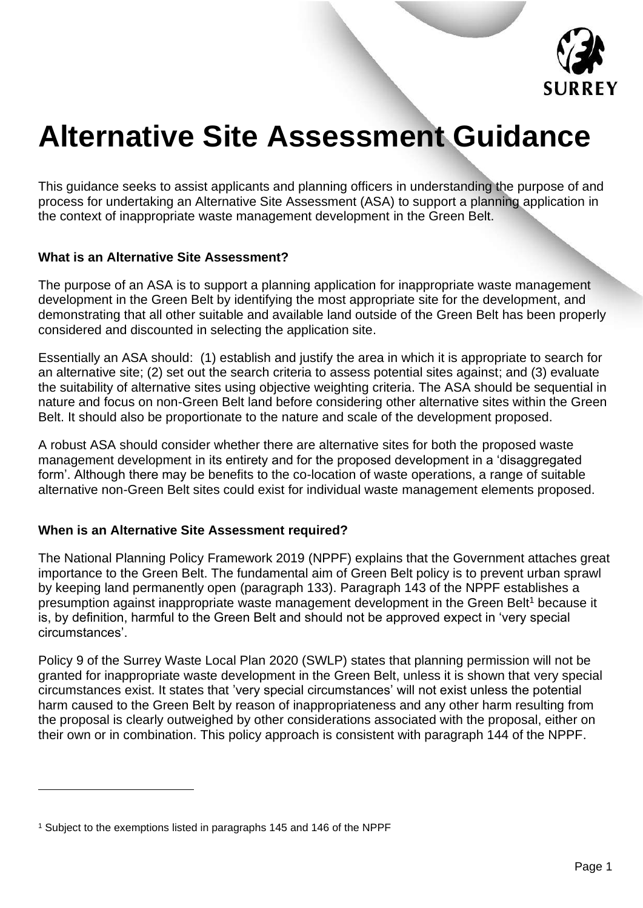

# **Alternative Site Assessment Guidance**

This guidance seeks to assist applicants and planning officers in understanding the purpose of and process for undertaking an Alternative Site Assessment (ASA) to support a planning application in the context of inappropriate waste management development in the Green Belt.

#### **What is an Alternative Site Assessment?**

The purpose of an ASA is to support a planning application for inappropriate waste management development in the Green Belt by identifying the most appropriate site for the development, and demonstrating that all other suitable and available land outside of the Green Belt has been properly considered and discounted in selecting the application site.

Essentially an ASA should: (1) establish and justify the area in which it is appropriate to search for an alternative site; (2) set out the search criteria to assess potential sites against; and (3) evaluate the suitability of alternative sites using objective weighting criteria. The ASA should be sequential in nature and focus on non-Green Belt land before considering other alternative sites within the Green Belt. It should also be proportionate to the nature and scale of the development proposed.

A robust ASA should consider whether there are alternative sites for both the proposed waste management development in its entirety and for the proposed development in a 'disaggregated form'. Although there may be benefits to the co-location of waste operations, a range of suitable alternative non-Green Belt sites could exist for individual waste management elements proposed.

#### **When is an Alternative Site Assessment required?**

The National Planning Policy Framework 2019 (NPPF) explains that the Government attaches great importance to the Green Belt. The fundamental aim of Green Belt policy is to prevent urban sprawl by keeping land permanently open (paragraph 133). Paragraph 143 of the NPPF establishes a presumption against inappropriate waste management development in the Green Belt<sup>1</sup> because it is, by definition, harmful to the Green Belt and should not be approved expect in 'very special circumstances'.

Policy 9 of the Surrey Waste Local Plan 2020 (SWLP) states that planning permission will not be granted for inappropriate waste development in the Green Belt, unless it is shown that very special circumstances exist. It states that 'very special circumstances' will not exist unless the potential harm caused to the Green Belt by reason of inappropriateness and any other harm resulting from the proposal is clearly outweighed by other considerations associated with the proposal, either on their own or in combination. This policy approach is consistent with paragraph 144 of the NPPF.

<sup>1</sup> Subject to the exemptions listed in paragraphs 145 and 146 of the NPPF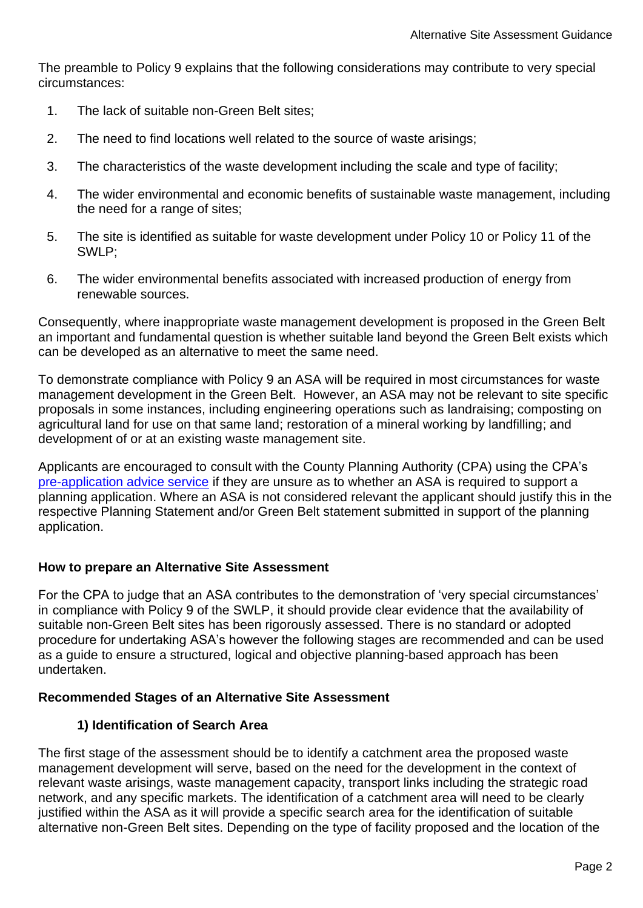The preamble to Policy 9 explains that the following considerations may contribute to very special circumstances:

- 1. The lack of suitable non-Green Belt sites;
- 2. The need to find locations well related to the source of waste arisings;
- 3. The characteristics of the waste development including the scale and type of facility;
- 4. The wider environmental and economic benefits of sustainable waste management, including the need for a range of sites;
- 5. The site is identified as suitable for waste development under Policy 10 or Policy 11 of the SWLP;
- 6. The wider environmental benefits associated with increased production of energy from renewable sources.

Consequently, where inappropriate waste management development is proposed in the Green Belt an important and fundamental question is whether suitable land beyond the Green Belt exists which can be developed as an alternative to meet the same need.

To demonstrate compliance with Policy 9 an ASA will be required in most circumstances for waste management development in the Green Belt. However, an ASA may not be relevant to site specific proposals in some instances, including engineering operations such as landraising; composting on agricultural land for use on that same land; restoration of a mineral working by landfilling; and development of or at an existing waste management site.

Applicants are encouraged to consult with the County Planning Authority (CPA) using the CPA's [pre-application advice service](https://www.surreycc.gov.uk/land-planning-and-development/planning/applications-register/process/new-application/pre-discussion) if they are unsure as to whether an ASA is required to support a planning application. Where an ASA is not considered relevant the applicant should justify this in the respective Planning Statement and/or Green Belt statement submitted in support of the planning application.

## **How to prepare an Alternative Site Assessment**

For the CPA to judge that an ASA contributes to the demonstration of 'very special circumstances' in compliance with Policy 9 of the SWLP, it should provide clear evidence that the availability of suitable non-Green Belt sites has been rigorously assessed. There is no standard or adopted procedure for undertaking ASA's however the following stages are recommended and can be used as a guide to ensure a structured, logical and objective planning-based approach has been undertaken.

#### **Recommended Stages of an Alternative Site Assessment**

## **1) Identification of Search Area**

The first stage of the assessment should be to identify a catchment area the proposed waste management development will serve, based on the need for the development in the context of relevant waste arisings, waste management capacity, transport links including the strategic road network, and any specific markets. The identification of a catchment area will need to be clearly justified within the ASA as it will provide a specific search area for the identification of suitable alternative non-Green Belt sites. Depending on the type of facility proposed and the location of the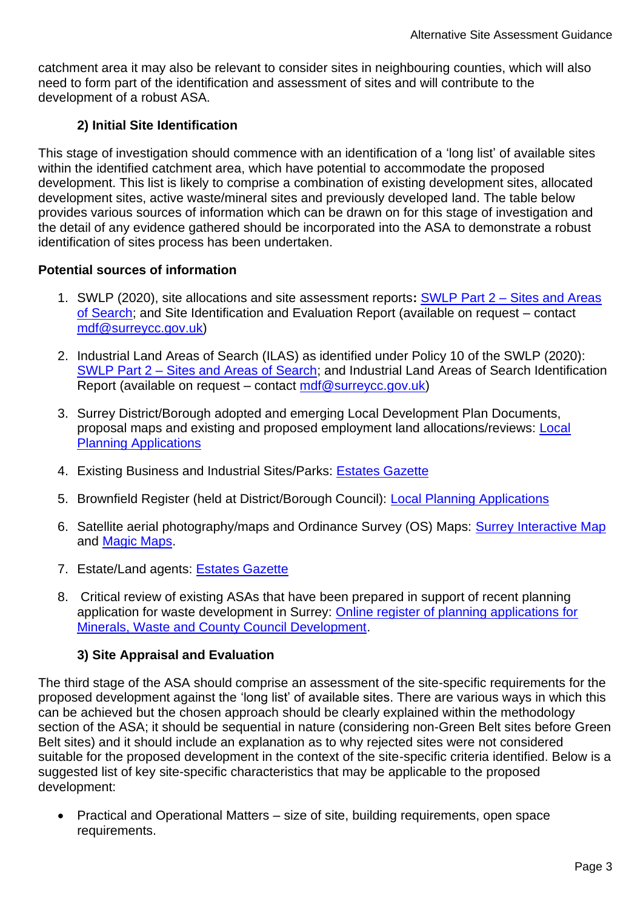catchment area it may also be relevant to consider sites in neighbouring counties, which will also need to form part of the identification and assessment of sites and will contribute to the development of a robust ASA.

# **2) Initial Site Identification**

This stage of investigation should commence with an identification of a 'long list' of available sites within the identified catchment area, which have potential to accommodate the proposed development. This list is likely to comprise a combination of existing development sites, allocated development sites, active waste/mineral sites and previously developed land. The table below provides various sources of information which can be drawn on for this stage of investigation and the detail of any evidence gathered should be incorporated into the ASA to demonstrate a robust identification of sites process has been undertaken.

## **Potential sources of information**

- 1. SWLP (2020), site allocations and site assessment reports**:** SWLP Part 2 [Sites and Areas](https://www.surreycc.gov.uk/land-planning-and-development/minerals-and-waste/waste-plan)  [of Search;](https://www.surreycc.gov.uk/land-planning-and-development/minerals-and-waste/waste-plan) and Site Identification and Evaluation Report (available on request – contact [mdf@surreycc.gov.uk\)](mailto:mdf@surreycc.gov.uk)
- 2. Industrial Land Areas of Search (ILAS) as identified under Policy 10 of the SWLP (2020): SWLP Part 2 – [Sites and Areas of Search;](https://www.surreycc.gov.uk/land-planning-and-development/minerals-and-waste/waste-plan) and Industrial Land Areas of Search Identification Report (available on request – contact [mdf@surreycc.gov.uk\)](mailto:mdf@surreycc.gov.uk)
- 3. Surrey District/Borough adopted and emerging Local Development Plan Documents, proposal maps and existing and proposed employment land allocations/reviews: [Local](https://www.surreycc.gov.uk/land-planning-and-development/planning/local-applications)  [Planning Applications](https://www.surreycc.gov.uk/land-planning-and-development/planning/local-applications)
- 4. Existing Business and Industrial Sites/Parks: [Estates Gazette](https://www.estatesgazette.com/propertylink-about/)
- 5. Brownfield Register (held at District/Borough Council): [Local Planning Applications](https://www.surreycc.gov.uk/land-planning-and-development/planning/local-applications)
- 6. Satellite aerial photography/maps and Ordinance Survey (OS) Maps: [Surrey Interactive Map](http://maps.surreycc.gov.uk/maps/viewer.asphttps:/www.leicestershire.gov.uk/sites/default/files/field/pdf/2017/1/27/Leicestershire_Local_Aggregate_Assessment_December_2016.pdf) and [Magic Maps.](https://magic.defra.gov.uk/)
- 7. Estate/Land agents: **Estates [Gazette](https://www.estatesgazette.com/aboutus/)**
- 8. Critical review of existing ASAs that have been prepared in support of recent planning application for waste development in Surrey: [Online register of planning applications for](https://www.surreycc.gov.uk/land-planning-and-development/planning/applications-register/applications-for-minerals-waste-and-our-development)  [Minerals, Waste and County Council Development.](https://www.surreycc.gov.uk/land-planning-and-development/planning/applications-register/applications-for-minerals-waste-and-our-development)

## **3) Site Appraisal and Evaluation**

The third stage of the ASA should comprise an assessment of the site-specific requirements for the proposed development against the 'long list' of available sites. There are various ways in which this can be achieved but the chosen approach should be clearly explained within the methodology section of the ASA; it should be sequential in nature (considering non-Green Belt sites before Green Belt sites) and it should include an explanation as to why rejected sites were not considered suitable for the proposed development in the context of the site-specific criteria identified. Below is a suggested list of key site-specific characteristics that may be applicable to the proposed development:

• Practical and Operational Matters – size of site, building requirements, open space requirements.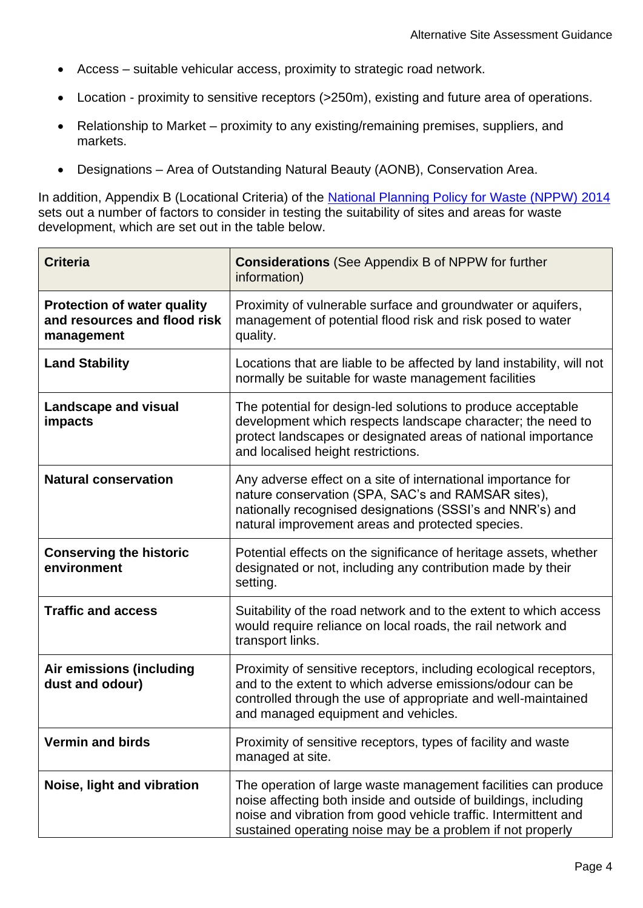- Access suitable vehicular access, proximity to strategic road network.
- Location proximity to sensitive receptors (>250m), existing and future area of operations.
- Relationship to Market proximity to any existing/remaining premises, suppliers, and markets.
- Designations Area of Outstanding Natural Beauty (AONB), Conservation Area.

In addition, Appendix B (Locational Criteria) of the [National Planning Policy for Waste \(NPPW\)](https://www.gov.uk/government/publications/national-planning-policy-for-waste) 2014 sets out a number of factors to consider in testing the suitability of sites and areas for waste development, which are set out in the table below.

| <b>Criteria</b>                                                                  | <b>Considerations</b> (See Appendix B of NPPW for further<br>information)                                                                                                                                                                                          |  |  |  |
|----------------------------------------------------------------------------------|--------------------------------------------------------------------------------------------------------------------------------------------------------------------------------------------------------------------------------------------------------------------|--|--|--|
| <b>Protection of water quality</b><br>and resources and flood risk<br>management | Proximity of vulnerable surface and groundwater or aquifers,<br>management of potential flood risk and risk posed to water<br>quality.                                                                                                                             |  |  |  |
| <b>Land Stability</b>                                                            | Locations that are liable to be affected by land instability, will not<br>normally be suitable for waste management facilities                                                                                                                                     |  |  |  |
| <b>Landscape and visual</b><br>impacts                                           | The potential for design-led solutions to produce acceptable<br>development which respects landscape character; the need to<br>protect landscapes or designated areas of national importance<br>and localised height restrictions.                                 |  |  |  |
| <b>Natural conservation</b>                                                      | Any adverse effect on a site of international importance for<br>nature conservation (SPA, SAC's and RAMSAR sites),<br>nationally recognised designations (SSSI's and NNR's) and<br>natural improvement areas and protected species.                                |  |  |  |
| <b>Conserving the historic</b><br>environment                                    | Potential effects on the significance of heritage assets, whether<br>designated or not, including any contribution made by their<br>setting.                                                                                                                       |  |  |  |
| <b>Traffic and access</b>                                                        | Suitability of the road network and to the extent to which access<br>would require reliance on local roads, the rail network and<br>transport links.                                                                                                               |  |  |  |
| Air emissions (including<br>dust and odour)                                      | Proximity of sensitive receptors, including ecological receptors,<br>and to the extent to which adverse emissions/odour can be<br>controlled through the use of appropriate and well-maintained<br>and managed equipment and vehicles.                             |  |  |  |
| <b>Vermin and birds</b>                                                          | Proximity of sensitive receptors, types of facility and waste<br>managed at site.                                                                                                                                                                                  |  |  |  |
| Noise, light and vibration                                                       | The operation of large waste management facilities can produce<br>noise affecting both inside and outside of buildings, including<br>noise and vibration from good vehicle traffic. Intermittent and<br>sustained operating noise may be a problem if not properly |  |  |  |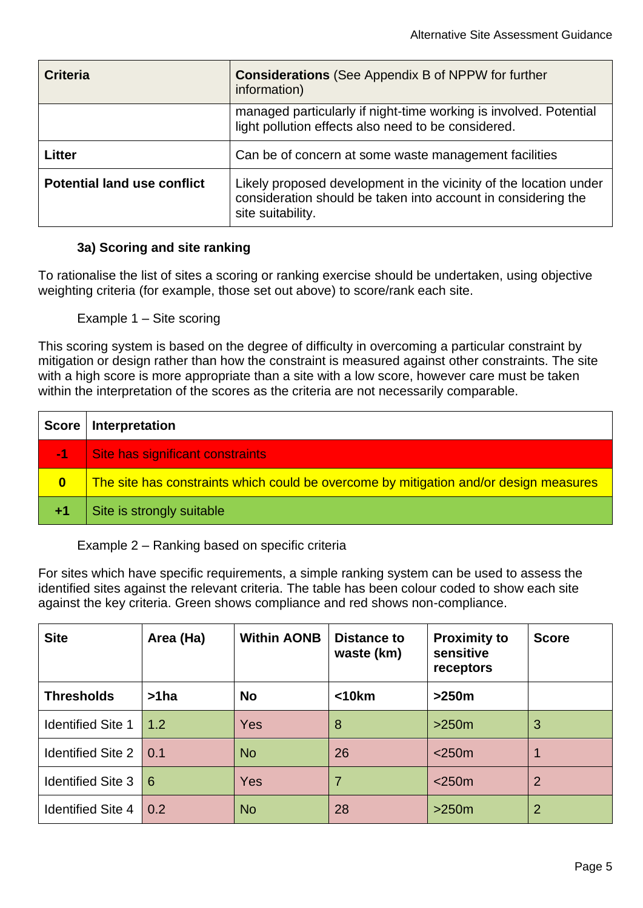| <b>Criteria</b>                    | <b>Considerations</b> (See Appendix B of NPPW for further<br>information)                                                                               |  |  |  |
|------------------------------------|---------------------------------------------------------------------------------------------------------------------------------------------------------|--|--|--|
|                                    | managed particularly if night-time working is involved. Potential<br>light pollution effects also need to be considered.                                |  |  |  |
| Litter                             | Can be of concern at some waste management facilities                                                                                                   |  |  |  |
| <b>Potential land use conflict</b> | Likely proposed development in the vicinity of the location under<br>consideration should be taken into account in considering the<br>site suitability. |  |  |  |

### **3a) Scoring and site ranking**

To rationalise the list of sites a scoring or ranking exercise should be undertaken, using objective weighting criteria (for example, those set out above) to score/rank each site.

Example 1 – Site scoring

This scoring system is based on the degree of difficulty in overcoming a particular constraint by mitigation or design rather than how the constraint is measured against other constraints. The site with a high score is more appropriate than a site with a low score, however care must be taken within the interpretation of the scores as the criteria are not necessarily comparable.

| <b>Score</b> | Interpretation                                                                        |
|--------------|---------------------------------------------------------------------------------------|
| W1 L         | Site has significant constraints                                                      |
| $\mathbf{0}$ | The site has constraints which could be overcome by mitigation and/or design measures |
|              | Site is strongly suitable                                                             |

Example 2 – Ranking based on specific criteria

For sites which have specific requirements, a simple ranking system can be used to assess the identified sites against the relevant criteria. The table has been colour coded to show each site against the key criteria. Green shows compliance and red shows non-compliance.

| <b>Site</b>              | Area (Ha) | <b>Within AONB</b> | <b>Distance to</b><br>waste (km) | <b>Proximity to</b><br>sensitive<br>receptors | <b>Score</b>   |
|--------------------------|-----------|--------------------|----------------------------------|-----------------------------------------------|----------------|
| <b>Thresholds</b>        | $>1$ ha   | <b>No</b>          | $<$ 10 $km$                      | >250m                                         |                |
| <b>Identified Site 1</b> | 1.2       | <b>Yes</b>         | 8                                | >250m                                         | 3              |
| Identified Site $2 \mid$ | 0.1       | <b>No</b>          | 26                               | $<$ 250 $m$                                   |                |
| <b>Identified Site 3</b> | 6         | Yes                | 7                                | $<$ 250 $m$                                   | $\overline{2}$ |
| <b>Identified Site 4</b> | 0.2       | <b>No</b>          | 28                               | $>250m$                                       | 2              |